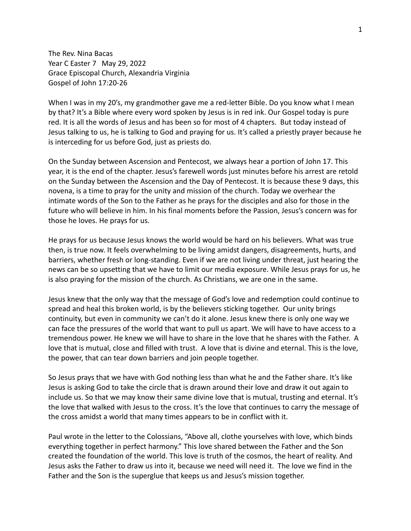The Rev. Nina Bacas Year C Easter 7 May 29, 2022 Grace Episcopal Church, Alexandria Virginia Gospel of John 17:20-26

When I was in my 20's, my grandmother gave me a red-letter Bible. Do you know what I mean by that? It's a Bible where every word spoken by Jesus is in red ink. Our Gospel today is pure red. It is all the words of Jesus and has been so for most of 4 chapters. But today instead of Jesus talking to us, he is talking to God and praying for us. It's called a priestly prayer because he is interceding for us before God, just as priests do.

On the Sunday between Ascension and Pentecost, we always hear a portion of John 17. This year, it is the end of the chapter. Jesus's farewell words just minutes before his arrest are retold on the Sunday between the Ascension and the Day of Pentecost. It is because these 9 days, this novena, is a time to pray for the unity and mission of the church. Today we overhear the intimate words of the Son to the Father as he prays for the disciples and also for those in the future who will believe in him. In his final moments before the Passion, Jesus's concern was for those he loves. He prays for us.

He prays for us because Jesus knows the world would be hard on his believers. What was true then, is true now. It feels overwhelming to be living amidst dangers, disagreements, hurts, and barriers, whether fresh or long-standing. Even if we are not living under threat, just hearing the news can be so upsetting that we have to limit our media exposure. While Jesus prays for us, he is also praying for the mission of the church. As Christians, we are one in the same.

Jesus knew that the only way that the message of God's love and redemption could continue to spread and heal this broken world, is by the believers sticking together. Our unity brings continuity, but even in community we can't do it alone. Jesus knew there is only one way we can face the pressures of the world that want to pull us apart. We will have to have access to a tremendous power. He knew we will have to share in the love that he shares with the Father. A love that is mutual, close and filled with trust. A love that is divine and eternal. This is the love, the power, that can tear down barriers and join people together.

So Jesus prays that we have with God nothing less than what he and the Father share. It's like Jesus is asking God to take the circle that is drawn around their love and draw it out again to include us. So that we may know their same divine love that is mutual, trusting and eternal. It's the love that walked with Jesus to the cross. It's the love that continues to carry the message of the cross amidst a world that many times appears to be in conflict with it.

Paul wrote in the letter to the Colossians, "Above all, clothe yourselves with love, which binds everything together in perfect harmony." This love shared between the Father and the Son created the foundation of the world. This love is truth of the cosmos, the heart of reality. And Jesus asks the Father to draw us into it, because we need will need it. The love we find in the Father and the Son is the superglue that keeps us and Jesus's mission together.